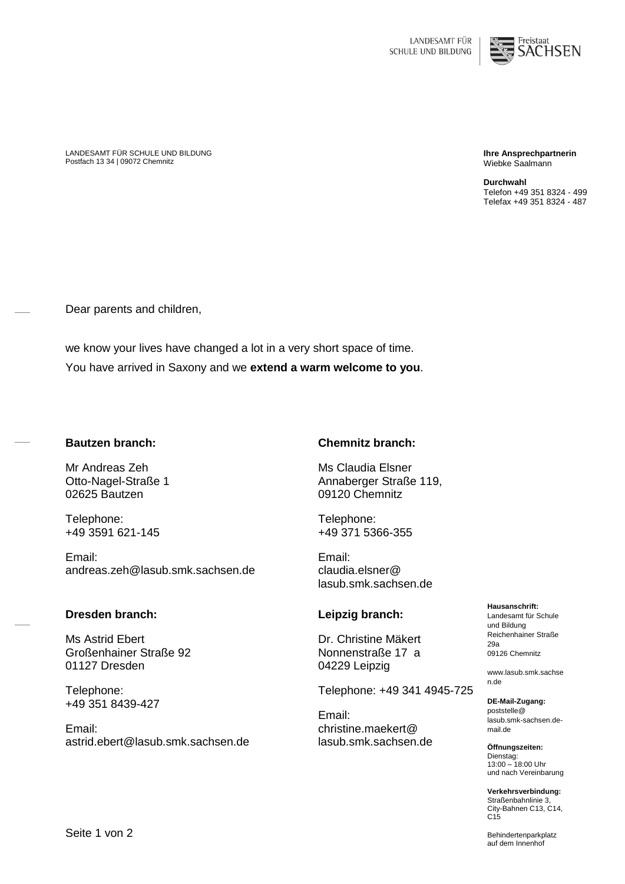

LANDESAMT FÜR SCHULE UND BILDUNG Postfach 13 34 | 09072 Chemnitz

**Ihre Ansprechpartnerin** Wiebke Saalmann

**Durchwahl** Telefon +49 351 8324 - 499 Telefax +49 351 8324 - 487

Dear parents and children,

we know your lives have changed a lot in a very short space of time. You have arrived in Saxony and we **extend a warm welcome to you**.

#### **Bautzen branch:**

Mr Andreas Zeh Otto-Nagel-Straße 1 02625 Bautzen

Telephone: +49 3591 621-145

Email: andreas.zeh@lasub.smk.sachsen.de

# **Dresden branch:**

Ms Astrid Ebert Großenhainer Straße 92 01127 Dresden

Telephone: +49 351 8439-427

Email: astrid.ebert@lasub.smk.sachsen.de

### **Chemnitz branch:**

Ms Claudia Elsner Annaberger Straße 119, 09120 Chemnitz

Telephone: +49 371 5366-355

Email: claudia.elsner@ lasub.smk.sachsen.de

# **Leipzig branch:**

Dr. Christine Mäkert Nonnenstraße 17 a 04229 Leipzig

Telephone: +49 341 4945-725

Email: christine.maekert@ lasub.smk.sachsen.de **Hausanschrift:** Landesamt für Schule und Bildung Reichenhainer Straße 29a 09126 Chemnitz

www.lasub.smk.sachse n.de

**DE-Mail-Zugang:** poststelle@ lasub.smk-sachsen.demail.de

**Öffnungszeiten:** Dienstag: 13:00 – 18:00 Uhr und nach Vereinbarung

**Verkehrsverbindung:** Straßenbahnlinie 3, City-Bahnen C13, C14, C15

Behindertenparkplatz auf dem Innenhof